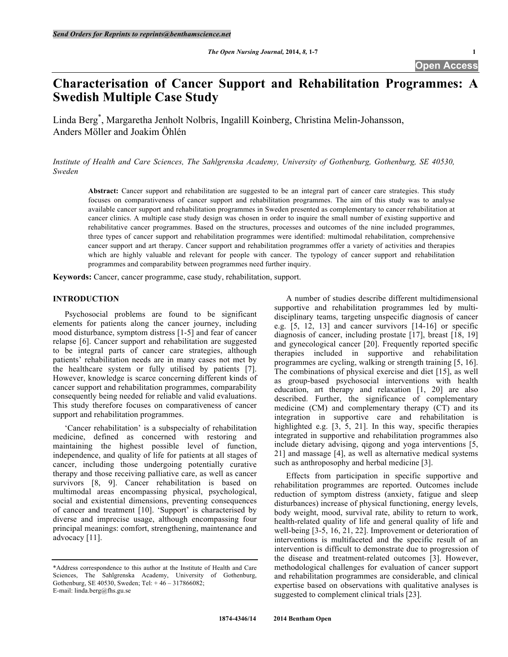# **Characterisation of Cancer Support and Rehabilitation Programmes: A Swedish Multiple Case Study**

Linda Berg\* , Margaretha Jenholt Nolbris, Ingalill Koinberg, Christina Melin-Johansson, Anders Möller and Joakim Öhlén

*Institute of Health and Care Sciences, The Sahlgrenska Academy, University of Gothenburg, Gothenburg, SE 40530, Sweden*

**Abstract:** Cancer support and rehabilitation are suggested to be an integral part of cancer care strategies. This study focuses on comparativeness of cancer support and rehabilitation programmes. The aim of this study was to analyse available cancer support and rehabilitation programmes in Sweden presented as complementary to cancer rehabilitation at cancer clinics. A multiple case study design was chosen in order to inquire the small number of existing supportive and rehabilitative cancer programmes. Based on the structures, processes and outcomes of the nine included programmes, three types of cancer support and rehabilitation programmes were identified: multimodal rehabilitation, comprehensive cancer support and art therapy. Cancer support and rehabilitation programmes offer a variety of activities and therapies which are highly valuable and relevant for people with cancer. The typology of cancer support and rehabilitation programmes and comparability between programmes need further inquiry.

**Keywords:** Cancer, cancer programme, case study, rehabilitation, support.

# **INTRODUCTION**

Psychosocial problems are found to be significant elements for patients along the cancer journey, including mood disturbance, symptom distress [1-5] and fear of cancer relapse [6]. Cancer support and rehabilitation are suggested to be integral parts of cancer care strategies, although patients' rehabilitation needs are in many cases not met by the healthcare system or fully utilised by patients [7]. However, knowledge is scarce concerning different kinds of cancer support and rehabilitation programmes, comparability consequently being needed for reliable and valid evaluations. This study therefore focuses on comparativeness of cancer support and rehabilitation programmes.

'Cancer rehabilitation' is a subspecialty of rehabilitation medicine, defined as concerned with restoring and maintaining the highest possible level of function, independence, and quality of life for patients at all stages of cancer, including those undergoing potentially curative therapy and those receiving palliative care, as well as cancer survivors [8, 9]. Cancer rehabilitation is based on multimodal areas encompassing physical, psychological, social and existential dimensions, preventing consequences of cancer and treatment [10]. 'Support' is characterised by diverse and imprecise usage, although encompassing four principal meanings: comfort, strengthening, maintenance and advocacy [11].

A number of studies describe different multidimensional supportive and rehabilitation programmes led by multidisciplinary teams, targeting unspecific diagnosis of cancer e.g. [5, 12, 13] and cancer survivors [14-16] or specific diagnosis of cancer, including prostate [17], breast [18, 19] and gynecological cancer [20]. Frequently reported specific therapies included in supportive and rehabilitation programmes are cycling, walking or strength training [5, 16]. The combinations of physical exercise and diet [15], as well as group-based psychosocial interventions with health education, art therapy and relaxation [1, 20] are also described. Further, the significance of complementary medicine (CM) and complementary therapy (CT) and its integration in supportive care and rehabilitation is highlighted e.g. [3, 5, 21]. In this way, specific therapies integrated in supportive and rehabilitation programmes also include dietary advising, qigong and yoga interventions [5, 21] and massage [4], as well as alternative medical systems such as anthroposophy and herbal medicine [3].

Effects from participation in specific supportive and rehabilitation programmes are reported. Outcomes include reduction of symptom distress (anxiety, fatigue and sleep disturbances) increase of physical functioning, energy levels, body weight, mood, survival rate, ability to return to work, health-related quality of life and general quality of life and well-being [3-5, 16, 21, 22]. Improvement or deterioration of interventions is multifaceted and the specific result of an intervention is difficult to demonstrate due to progression of the disease and treatment-related outcomes [3]. However, methodological challenges for evaluation of cancer support and rehabilitation programmes are considerable, and clinical expertise based on observations with qualitative analyses is suggested to complement clinical trials [23].

<sup>\*</sup>Address correspondence to this author at the Institute of Health and Care Sciences, The Sahlgrenska Academy, University of Gothenburg, Gothenburg, SE 40530, Sweden; Tel: + 46 – 317866082; E-mail: linda.berg@fhs.gu.se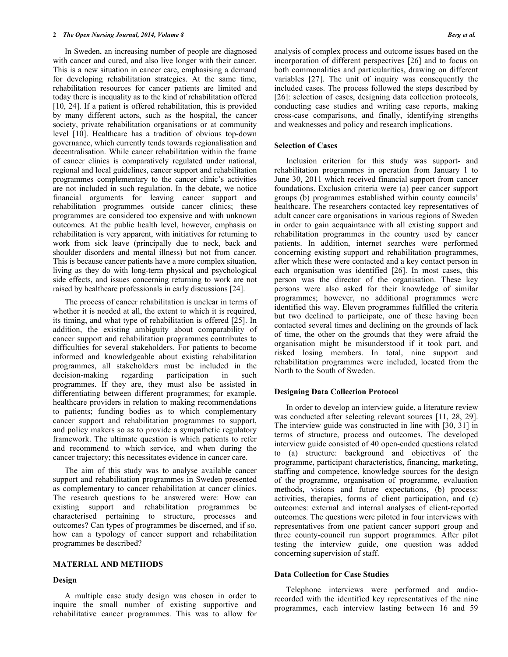In Sweden, an increasing number of people are diagnosed with cancer and cured, and also live longer with their cancer. This is a new situation in cancer care, emphasising a demand for developing rehabilitation strategies. At the same time, rehabilitation resources for cancer patients are limited and today there is inequality as to the kind of rehabilitation offered [10, 24]. If a patient is offered rehabilitation, this is provided by many different actors, such as the hospital, the cancer society, private rehabilitation organisations or at community level [10]. Healthcare has a tradition of obvious top-down governance, which currently tends towards regionalisation and decentralisation. While cancer rehabilitation within the frame of cancer clinics is comparatively regulated under national, regional and local guidelines, cancer support and rehabilitation programmes complementary to the cancer clinic's activities are not included in such regulation. In the debate, we notice financial arguments for leaving cancer support and rehabilitation programmes outside cancer clinics; these programmes are considered too expensive and with unknown outcomes. At the public health level, however, emphasis on rehabilitation is very apparent, with initiatives for returning to work from sick leave (principally due to neck, back and shoulder disorders and mental illness) but not from cancer. This is because cancer patients have a more complex situation, living as they do with long-term physical and psychological side effects, and issues concerning returning to work are not raised by healthcare professionals in early discussions [24].

The process of cancer rehabilitation is unclear in terms of whether it is needed at all, the extent to which it is required, its timing, and what type of rehabilitation is offered [25]. In addition, the existing ambiguity about comparability of cancer support and rehabilitation programmes contributes to difficulties for several stakeholders. For patients to become informed and knowledgeable about existing rehabilitation programmes, all stakeholders must be included in the decision-making regarding participation in such programmes. If they are, they must also be assisted in differentiating between different programmes; for example, healthcare providers in relation to making recommendations to patients; funding bodies as to which complementary cancer support and rehabilitation programmes to support, and policy makers so as to provide a sympathetic regulatory framework. The ultimate question is which patients to refer and recommend to which service, and when during the cancer trajectory; this necessitates evidence in cancer care.

The aim of this study was to analyse available cancer support and rehabilitation programmes in Sweden presented as complementary to cancer rehabilitation at cancer clinics. The research questions to be answered were: How can existing support and rehabilitation programmes be characterised pertaining to structure, processes and outcomes? Can types of programmes be discerned, and if so, how can a typology of cancer support and rehabilitation programmes be described?

## **MATERIAL AND METHODS**

# **Design**

A multiple case study design was chosen in order to inquire the small number of existing supportive and rehabilitative cancer programmes. This was to allow for

analysis of complex process and outcome issues based on the incorporation of different perspectives [26] and to focus on both commonalities and particularities, drawing on different variables [27]. The unit of inquiry was consequently the included cases. The process followed the steps described by [26]: selection of cases, designing data collection protocols, conducting case studies and writing case reports, making cross-case comparisons, and finally, identifying strengths and weaknesses and policy and research implications.

# **Selection of Cases**

Inclusion criterion for this study was support- and rehabilitation programmes in operation from January 1 to June 30, 2011 which received financial support from cancer foundations. Exclusion criteria were (a) peer cancer support groups (b) programmes established within county councils' healthcare. The researchers contacted key representatives of adult cancer care organisations in various regions of Sweden in order to gain acquaintance with all existing support and rehabilitation programmes in the country used by cancer patients. In addition, internet searches were performed concerning existing support and rehabilitation programmes, after which these were contacted and a key contact person in each organisation was identified [26]. In most cases, this person was the director of the organisation. These key persons were also asked for their knowledge of similar programmes; however, no additional programmes were identified this way. Eleven programmes fulfilled the criteria but two declined to participate, one of these having been contacted several times and declining on the grounds of lack of time, the other on the grounds that they were afraid the organisation might be misunderstood if it took part, and risked losing members. In total, nine support and rehabilitation programmes were included, located from the North to the South of Sweden.

## **Designing Data Collection Protocol**

In order to develop an interview guide, a literature review was conducted after selecting relevant sources [11, 28, 29]. The interview guide was constructed in line with [30, 31] in terms of structure, process and outcomes. The developed interview guide consisted of 40 open-ended questions related to (a) structure: background and objectives of the programme, participant characteristics, financing, marketing, staffing and competence, knowledge sources for the design of the programme, organisation of programme, evaluation methods, visions and future expectations, (b) process: activities, therapies, forms of client participation, and (c) outcomes: external and internal analyses of client-reported outcomes. The questions were piloted in four interviews with representatives from one patient cancer support group and three county-council run support programmes. After pilot testing the interview guide, one question was added concerning supervision of staff.

# **Data Collection for Case Studies**

Telephone interviews were performed and audiorecorded with the identified key representatives of the nine programmes, each interview lasting between 16 and 59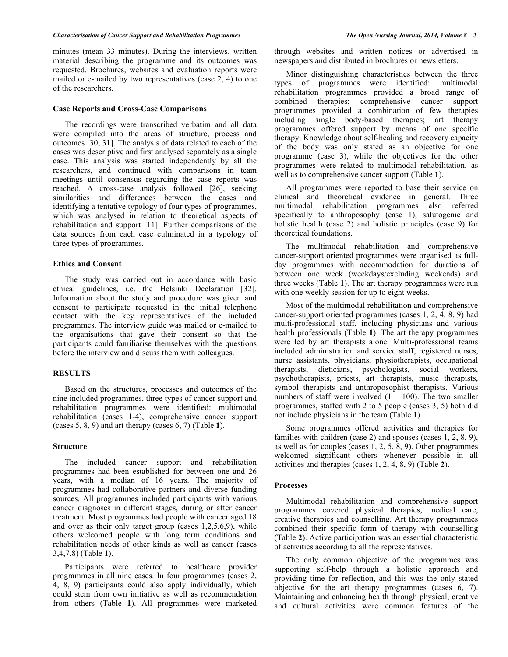minutes (mean 33 minutes). During the interviews, written material describing the programme and its outcomes was requested. Brochures, websites and evaluation reports were mailed or e-mailed by two representatives (case 2, 4) to one of the researchers.

## **Case Reports and Cross-Case Comparisons**

The recordings were transcribed verbatim and all data were compiled into the areas of structure, process and outcomes [30, 31]. The analysis of data related to each of the cases was descriptive and first analysed separately as a single case. This analysis was started independently by all the researchers, and continued with comparisons in team meetings until consensus regarding the case reports was reached. A cross-case analysis followed [26], seeking similarities and differences between the cases and identifying a tentative typology of four types of programmes, which was analysed in relation to theoretical aspects of rehabilitation and support [11]. Further comparisons of the data sources from each case culminated in a typology of three types of programmes.

## **Ethics and Consent**

The study was carried out in accordance with basic ethical guidelines, i.e. the Helsinki Declaration [32]. Information about the study and procedure was given and consent to participate requested in the initial telephone contact with the key representatives of the included programmes. The interview guide was mailed or e-mailed to the organisations that gave their consent so that the participants could familiarise themselves with the questions before the interview and discuss them with colleagues.

#### **RESULTS**

Based on the structures, processes and outcomes of the nine included programmes, three types of cancer support and rehabilitation programmes were identified: multimodal rehabilitation (cases 1-4), comprehensive cancer support (cases 5, 8, 9) and art therapy (cases 6, 7) (Table **1**).

#### **Structure**

The included cancer support and rehabilitation programmes had been established for between one and 26 years, with a median of 16 years. The majority of programmes had collaborative partners and diverse funding sources. All programmes included participants with various cancer diagnoses in different stages, during or after cancer treatment. Most programmes had people with cancer aged 18 and over as their only target group (cases 1,2,5,6,9), while others welcomed people with long term conditions and rehabilitation needs of other kinds as well as cancer (cases 3,4,7,8) (Table **1**).

Participants were referred to healthcare provider programmes in all nine cases. In four programmes (cases 2, 4, 8, 9) participants could also apply individually, which could stem from own initiative as well as recommendation from others (Table **1**). All programmes were marketed

through websites and written notices or advertised in newspapers and distributed in brochures or newsletters.

Minor distinguishing characteristics between the three types of programmes were identified: multimodal rehabilitation programmes provided a broad range of combined therapies; comprehensive cancer support programmes provided a combination of few therapies including single body-based therapies; art therapy programmes offered support by means of one specific therapy. Knowledge about self-healing and recovery capacity of the body was only stated as an objective for one programme (case 3), while the objectives for the other programmes were related to multimodal rehabilitation, as well as to comprehensive cancer support (Table **1**).

All programmes were reported to base their service on clinical and theoretical evidence in general. Three multimodal rehabilitation programmes also referred specifically to anthroposophy (case 1), salutogenic and holistic health (case 2) and holistic principles (case 9) for theoretical foundations.

The multimodal rehabilitation and comprehensive cancer-support oriented programmes were organised as fullday programmes with accommodation for durations of between one week (weekdays/excluding weekends) and three weeks (Table **1**). The art therapy programmes were run with one weekly session for up to eight weeks.

Most of the multimodal rehabilitation and comprehensive cancer-support oriented programmes (cases 1, 2, 4, 8, 9) had multi-professional staff, including physicians and various health professionals (Table **1**). The art therapy programmes were led by art therapists alone. Multi-professional teams included administration and service staff, registered nurses, nurse assistants, physicians, physiotherapists, occupational therapists, dieticians, psychologists, social workers, psychotherapists, priests, art therapists, music therapists, symbol therapists and anthroposophist therapists. Various numbers of staff were involved  $(1 - 100)$ . The two smaller programmes, staffed with 2 to 5 people (cases 3, 5) both did not include physicians in the team (Table **1**).

Some programmes offered activities and therapies for families with children (case 2) and spouses (cases 1, 2, 8, 9), as well as for couples (cases  $1, 2, 5, 8, 9$ ). Other programmes welcomed significant others whenever possible in all activities and therapies (cases 1, 2, 4, 8, 9) (Table **2**).

#### **Processes**

Multimodal rehabilitation and comprehensive support programmes covered physical therapies, medical care, creative therapies and counselling. Art therapy programmes combined their specific form of therapy with counselling (Table **2**). Active participation was an essential characteristic of activities according to all the representatives.

The only common objective of the programmes was supporting self-help through a holistic approach and providing time for reflection, and this was the only stated objective for the art therapy programmes (cases 6, 7). Maintaining and enhancing health through physical, creative and cultural activities were common features of the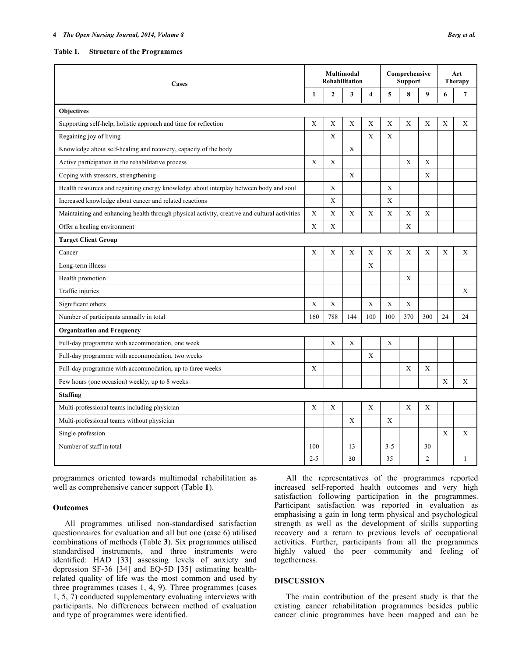#### **4** *The Open Nursing Journal, 2014, Volume 8 Berg et al.*

**Table 1. Structure of the Programmes**

| Cases                                                                                        | Multimodal<br>Rehabilitation |              |     |                         | Comprehensive<br><b>Support</b> |             |     | Art<br><b>Therapy</b> |              |
|----------------------------------------------------------------------------------------------|------------------------------|--------------|-----|-------------------------|---------------------------------|-------------|-----|-----------------------|--------------|
|                                                                                              | 1                            | $\mathbf{2}$ | 3   | $\overline{\mathbf{4}}$ | 5                               | 8           | 9   | 6                     | 7            |
| <b>Objectives</b>                                                                            |                              |              |     |                         |                                 |             |     |                       |              |
| Supporting self-help, holistic approach and time for reflection                              | X                            | X            | X   | X                       | X                               | X           | X   | X                     | X            |
| Regaining joy of living                                                                      |                              | X            |     | X                       | X                               |             |     |                       |              |
| Knowledge about self-healing and recovery, capacity of the body                              |                              |              | X   |                         |                                 |             |     |                       |              |
| Active participation in the rehabilitative process                                           | X                            | X            |     |                         |                                 | Х           | X   |                       |              |
| Coping with stressors, strengthening                                                         |                              |              | X   |                         |                                 |             | X   |                       |              |
| Health resources and regaining energy knowledge about interplay between body and soul        |                              | X            |     |                         | X                               |             |     |                       |              |
| Increased knowledge about cancer and related reactions                                       |                              | $\mathbf X$  |     |                         | $\mathbf X$                     |             |     |                       |              |
| Maintaining and enhancing health through physical activity, creative and cultural activities | X                            | X            | X   | X                       | X                               | X           | X   |                       |              |
| Offer a healing environment                                                                  | X                            | X            |     |                         |                                 | X           |     |                       |              |
| <b>Target Client Group</b>                                                                   |                              |              |     |                         |                                 |             |     |                       |              |
| Cancer                                                                                       | X                            | X            | X   | X                       | X                               | X           | X   | X                     | X            |
| Long-term illness                                                                            |                              |              |     | X                       |                                 |             |     |                       |              |
| Health promotion                                                                             |                              |              |     |                         |                                 | X           |     |                       |              |
| Traffic injuries                                                                             |                              |              |     |                         |                                 |             |     |                       | X            |
| Significant others                                                                           | X                            | $\mathbf X$  |     | $\mathbf X$             | X                               | $\mathbf X$ |     |                       |              |
| Number of participants annually in total                                                     | 160                          | 788          | 144 | 100                     | 100                             | 370         | 300 | 24                    | 24           |
| <b>Organization and Frequency</b>                                                            |                              |              |     |                         |                                 |             |     |                       |              |
| Full-day programme with accommodation, one week                                              |                              | X            | X   |                         | X                               |             |     |                       |              |
| Full-day programme with accommodation, two weeks                                             |                              |              |     | X                       |                                 |             |     |                       |              |
| Full-day programme with accommodation, up to three weeks                                     | X                            |              |     |                         |                                 | X           | X   |                       |              |
| Few hours (one occasion) weekly, up to 8 weeks                                               |                              |              |     |                         |                                 |             |     | X                     | X            |
| <b>Staffing</b>                                                                              |                              |              |     |                         |                                 |             |     |                       |              |
| Multi-professional teams including physician                                                 | X                            | X            |     | X                       |                                 | X           | X   |                       |              |
| Multi-professional teams without physician                                                   |                              |              | X   |                         | X                               |             |     |                       |              |
| Single profession                                                                            |                              |              |     |                         |                                 |             |     | $\mathbf X$           | X            |
| Number of staff in total                                                                     | 100                          |              | 13  |                         | $3 - 5$                         |             | 30  |                       |              |
|                                                                                              | $2 - 5$                      |              | 30  |                         | 35                              |             | 2   |                       | $\mathbf{1}$ |

programmes oriented towards multimodal rehabilitation as well as comprehensive cancer support (Table **1**).

## **Outcomes**

All programmes utilised non-standardised satisfaction questionnaires for evaluation and all but one (case 6) utilised combinations of methods (Table **3**). Six programmes utilised standardised instruments, and three instruments were identified: HAD [33] assessing levels of anxiety and depression SF-36 [34] and EQ-5D [35] estimating healthrelated quality of life was the most common and used by three programmes (cases 1, 4, 9). Three programmes (cases 1, 5, 7) conducted supplementary evaluating interviews with participants. No differences between method of evaluation and type of programmes were identified.

All the representatives of the programmes reported increased self-reported health outcomes and very high satisfaction following participation in the programmes. Participant satisfaction was reported in evaluation as emphasising a gain in long term physical and psychological strength as well as the development of skills supporting recovery and a return to previous levels of occupational activities. Further, participants from all the programmes highly valued the peer community and feeling of togetherness.

# **DISCUSSION**

The main contribution of the present study is that the existing cancer rehabilitation programmes besides public cancer clinic programmes have been mapped and can be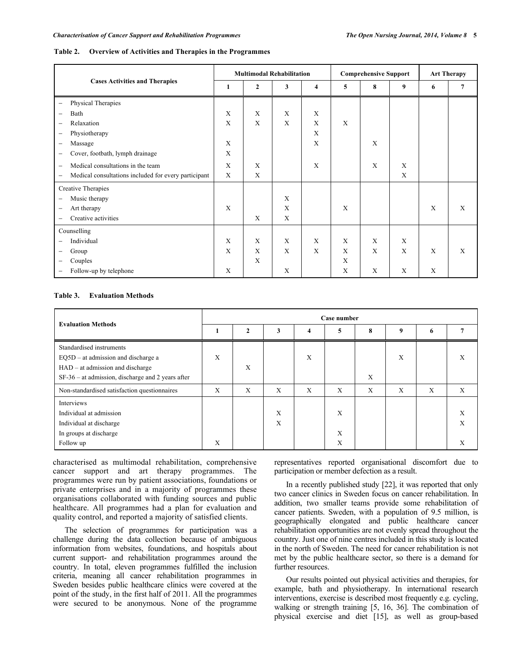#### **Table 2. Overview of Activities and Therapies in the Programmes**

|                                                                           |   |              | <b>Multimodal Rehabilitation</b> |                |   | <b>Comprehensive Support</b> | <b>Art Therapy</b> |   |   |
|---------------------------------------------------------------------------|---|--------------|----------------------------------|----------------|---|------------------------------|--------------------|---|---|
| <b>Cases Activities and Therapies</b>                                     | 1 | $\mathbf{2}$ | 3                                | $\overline{4}$ | 5 | 8                            | 9                  | 6 | 7 |
| Physical Therapies<br>$\qquad \qquad -$                                   |   |              |                                  |                |   |                              |                    |   |   |
| Bath<br>-                                                                 | X | X            | X                                | $\mathbf X$    |   |                              |                    |   |   |
| Relaxation<br>$\qquad \qquad -$                                           | X | X            | X                                | X              | X |                              |                    |   |   |
| Physiotherapy<br>-                                                        |   |              |                                  | $\mathbf X$    |   |                              |                    |   |   |
| Massage<br>-                                                              | X |              |                                  | X              |   | X                            |                    |   |   |
| Cover, footbath, lymph drainage<br>-                                      | X |              |                                  |                |   |                              |                    |   |   |
| Medical consultations in the team<br>-                                    | X | X            |                                  | X              |   | X                            | X                  |   |   |
| Medical consultations included for every participant<br>$\qquad \qquad -$ | X | X            |                                  |                |   |                              | X                  |   |   |
| Creative Therapies                                                        |   |              |                                  |                |   |                              |                    |   |   |
| Music therapy<br>$\qquad \qquad -$                                        |   |              | X                                |                |   |                              |                    |   |   |
| Art therapy<br>$\qquad \qquad -$                                          | X |              | X                                |                | X |                              |                    | X | X |
| Creative activities<br>$\qquad \qquad -$                                  |   | X            | X                                |                |   |                              |                    |   |   |
| Counselling                                                               |   |              |                                  |                |   |                              |                    |   |   |
| Individual                                                                | X | X            | X                                | $\mathbf X$    | X | X                            | X                  |   |   |
| Group<br>-                                                                | X | X            | X                                | X              | X | X                            | X                  | X | X |
| Couples<br>-                                                              |   | X            |                                  |                | X |                              |                    |   |   |
| Follow-up by telephone<br>-                                               | X |              | X                                |                | X | X                            | X                  | X |   |

# **Table 3. Evaluation Methods**

| <b>Evaluation Methods</b>                           | Case number |              |   |   |   |   |   |   |   |  |
|-----------------------------------------------------|-------------|--------------|---|---|---|---|---|---|---|--|
|                                                     |             | $\mathbf{2}$ | 3 | 4 | 5 | 8 | 9 | 6 |   |  |
| Standardised instruments                            |             |              |   |   |   |   |   |   |   |  |
| $EQ5D - at$ admission and discharge a               | X           |              |   | Χ |   |   | Χ |   |   |  |
| $HAD - at$ admission and discharge                  |             | X            |   |   |   |   |   |   |   |  |
| $SF-36$ – at admission, discharge and 2 years after |             |              |   |   |   | X |   |   |   |  |
| Non-standardised satisfaction questionnaires        | X           | X            | X | X | X | X | X | X | X |  |
| Interviews                                          |             |              |   |   |   |   |   |   |   |  |
| Individual at admission                             |             |              | X |   | X |   |   |   |   |  |
| Individual at discharge                             |             |              | X |   |   |   |   |   | X |  |
| In groups at discharge                              |             |              |   |   | X |   |   |   |   |  |
| Follow up                                           | Χ           |              |   |   | X |   |   |   |   |  |

characterised as multimodal rehabilitation, comprehensive cancer support and art therapy programmes. The programmes were run by patient associations, foundations or private enterprises and in a majority of programmes these organisations collaborated with funding sources and public healthcare. All programmes had a plan for evaluation and quality control, and reported a majority of satisfied clients.

The selection of programmes for participation was a challenge during the data collection because of ambiguous information from websites, foundations, and hospitals about current support- and rehabilitation programmes around the country. In total, eleven programmes fulfilled the inclusion criteria, meaning all cancer rehabilitation programmes in Sweden besides public healthcare clinics were covered at the point of the study, in the first half of 2011. All the programmes were secured to be anonymous. None of the programme

representatives reported organisational discomfort due to participation or member defection as a result.

In a recently published study [22], it was reported that only two cancer clinics in Sweden focus on cancer rehabilitation. In addition, two smaller teams provide some rehabilitation of cancer patients. Sweden, with a population of 9.5 million, is geographically elongated and public healthcare cancer rehabilitation opportunities are not evenly spread throughout the country. Just one of nine centres included in this study is located in the north of Sweden. The need for cancer rehabilitation is not met by the public healthcare sector, so there is a demand for further resources.

Our results pointed out physical activities and therapies, for example, bath and physiotherapy. In international research interventions, exercise is described most frequently e.g. cycling, walking or strength training [5, 16, 36]. The combination of physical exercise and diet [15], as well as group-based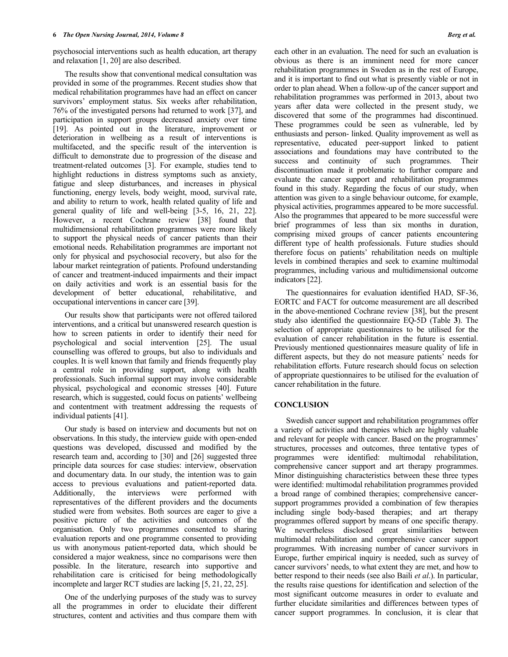psychosocial interventions such as health education, art therapy and relaxation [1, 20] are also described.

The results show that conventional medical consultation was provided in some of the programmes. Recent studies show that medical rehabilitation programmes have had an effect on cancer survivors' employment status. Six weeks after rehabilitation, 76% of the investigated persons had returned to work [37], and participation in support groups decreased anxiety over time [19]. As pointed out in the literature, improvement or deterioration in wellbeing as a result of interventions is multifaceted, and the specific result of the intervention is difficult to demonstrate due to progression of the disease and treatment-related outcomes [3]. For example, studies tend to highlight reductions in distress symptoms such as anxiety, fatigue and sleep disturbances, and increases in physical functioning, energy levels, body weight, mood, survival rate, and ability to return to work, health related quality of life and general quality of life and well-being [3-5, 16, 21, 22]. However, a recent Cochrane review [38] found that multidimensional rehabilitation programmes were more likely to support the physical needs of cancer patients than their emotional needs. Rehabilitation programmes are important not only for physical and psychosocial recovery, but also for the labour market reintegration of patients. Profound understanding of cancer and treatment-induced impairments and their impact on daily activities and work is an essential basis for the development of better educational, rehabilitative, and occupational interventions in cancer care [39].

Our results show that participants were not offered tailored interventions, and a critical but unanswered research question is how to screen patients in order to identify their need for psychological and social intervention [25]. The usual counselling was offered to groups, but also to individuals and couples. It is well known that family and friends frequently play a central role in providing support, along with health professionals. Such informal support may involve considerable physical, psychological and economic stresses [40]. Future research, which is suggested, could focus on patients' wellbeing and contentment with treatment addressing the requests of individual patients [41].

Our study is based on interview and documents but not on observations. In this study, the interview guide with open-ended questions was developed, discussed and modified by the research team and, according to [30] and [26] suggested three principle data sources for case studies: interview, observation and documentary data. In our study, the intention was to gain access to previous evaluations and patient-reported data. Additionally, the interviews were performed with representatives of the different providers and the documents studied were from websites. Both sources are eager to give a positive picture of the activities and outcomes of the organisation. Only two programmes consented to sharing evaluation reports and one programme consented to providing us with anonymous patient-reported data, which should be considered a major weakness, since no comparisons were then possible. In the literature, research into supportive and rehabilitation care is criticised for being methodologically incomplete and larger RCT studies are lacking [5, 21, 22, 25].

One of the underlying purposes of the study was to survey all the programmes in order to elucidate their different structures, content and activities and thus compare them with

each other in an evaluation. The need for such an evaluation is obvious as there is an imminent need for more cancer rehabilitation programmes in Sweden as in the rest of Europe, and it is important to find out what is presently viable or not in order to plan ahead. When a follow-up of the cancer support and rehabilitation programmes was performed in 2013, about two years after data were collected in the present study, we discovered that some of the programmes had discontinued. These programmes could be seen as vulnerable, led by enthusiasts and person- linked. Quality improvement as well as representative, educated peer-support linked to patient associations and foundations may have contributed to the success and continuity of such programmes. Their discontinuation made it problematic to further compare and evaluate the cancer support and rehabilitation programmes found in this study. Regarding the focus of our study, when attention was given to a single behaviour outcome, for example, physical activities, programmes appeared to be more successful. Also the programmes that appeared to be more successful were brief programmes of less than six months in duration, comprising mixed groups of cancer patients encountering different type of health professionals. Future studies should therefore focus on patients' rehabilitation needs on multiple levels in combined therapies and seek to examine multimodal programmes, including various and multidimensional outcome indicators [22].

The questionnaires for evaluation identified HAD, SF-36, EORTC and FACT for outcome measurement are all described in the above-mentioned Cochrane review [38], but the present study also identified the questionnaire EQ-5D (Table **3**). The selection of appropriate questionnaires to be utilised for the evaluation of cancer rehabilitation in the future is essential. Previously mentioned questionnaires measure quality of life in different aspects, but they do not measure patients' needs for rehabilitation efforts. Future research should focus on selection of appropriate questionnaires to be utilised for the evaluation of cancer rehabilitation in the future.

## **CONCLUSION**

Swedish cancer support and rehabilitation programmes offer a variety of activities and therapies which are highly valuable and relevant for people with cancer. Based on the programmes' structures, processes and outcomes, three tentative types of programmes were identified: multimodal rehabilitation, comprehensive cancer support and art therapy programmes. Minor distinguishing characteristics between these three types were identified: multimodal rehabilitation programmes provided a broad range of combined therapies; comprehensive cancersupport programmes provided a combination of few therapies including single body-based therapies; and art therapy programmes offered support by means of one specific therapy. We nevertheless disclosed great similarities between multimodal rehabilitation and comprehensive cancer support programmes. With increasing number of cancer survivors in Europe, further empirical inquiry is needed, such as survey of cancer survivors' needs, to what extent they are met, and how to better respond to their needs (see also Baili *et al*.). In particular, the results raise questions for identification and selection of the most significant outcome measures in order to evaluate and further elucidate similarities and differences between types of cancer support programmes. In conclusion, it is clear that